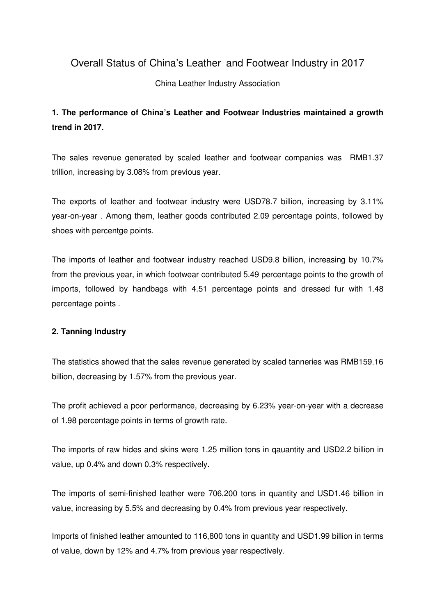## Overall Status of China's Leather and Footwear Industry in 2017

#### China Leather Industry Association

# **1. The performance of China's Leather and Footwear Industries maintained a growth trend in 2017.**

The sales revenue generated by scaled leather and footwear companies was RMB1.37 trillion, increasing by 3.08% from previous year.

The exports of leather and footwear industry were USD78.7 billion, increasing by 3.11% year-on-year . Among them, leather goods contributed 2.09 percentage points, followed by shoes with percentge points.

The imports of leather and footwear industry reached USD9.8 billion, increasing by 10.7% from the previous year, in which footwear contributed 5.49 percentage points to the growth of imports, followed by handbags with 4.51 percentage points and dressed fur with 1.48 percentage points .

### **2. Tanning Industry**

The statistics showed that the sales revenue generated by scaled tanneries was RMB159.16 billion, decreasing by 1.57% from the previous year.

The profit achieved a poor performance, decreasing by 6.23% year-on-year with a decrease of 1.98 percentage points in terms of growth rate.

The imports of raw hides and skins were 1.25 million tons in qauantity and USD2.2 billion in value, up 0.4% and down 0.3% respectively.

The imports of semi-finished leather were 706,200 tons in quantity and USD1.46 billion in value, increasing by 5.5% and decreasing by 0.4% from previous year respectively.

Imports of finished leather amounted to 116,800 tons in quantity and USD1.99 billion in terms of value, down by 12% and 4.7% from previous year respectively.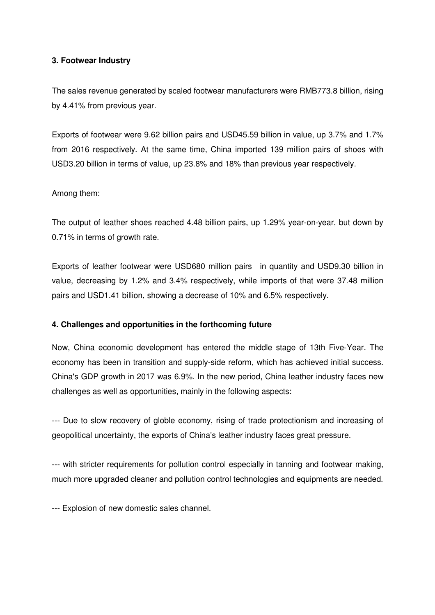#### **3. Footwear Industry**

The sales revenue generated by scaled footwear manufacturers were RMB773.8 billion, rising by 4.41% from previous year.

Exports of footwear were 9.62 billion pairs and USD45.59 billion in value, up 3.7% and 1.7% from 2016 respectively. At the same time, China imported 139 million pairs of shoes with USD3.20 billion in terms of value, up 23.8% and 18% than previous year respectively.

#### Among them:

The output of leather shoes reached 4.48 billion pairs, up 1.29% year-on-year, but down by 0.71% in terms of growth rate.

Exports of leather footwear were USD680 million pairs in quantity and USD9.30 billion in value, decreasing by 1.2% and 3.4% respectively, while imports of that were 37.48 million pairs and USD1.41 billion, showing a decrease of 10% and 6.5% respectively.

#### **4. Challenges and opportunities in the forthcoming future**

Now, China economic development has entered the middle stage of 13th Five-Year. The economy has been in transition and supply-side reform, which has achieved initial success. China's GDP growth in 2017 was 6.9%. In the new period, China leather industry faces new challenges as well as opportunities, mainly in the following aspects:

--- Due to slow recovery of globle economy, rising of trade protectionism and increasing of geopolitical uncertainty, the exports of China's leather industry faces great pressure.

--- with stricter requirements for pollution control especially in tanning and footwear making, much more upgraded cleaner and pollution control technologies and equipments are needed.

--- Explosion of new domestic sales channel.